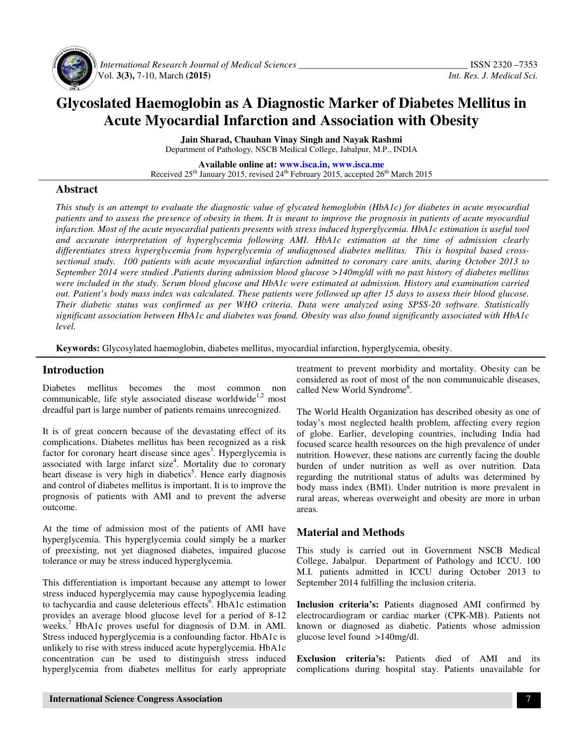

 *International Research Journal of Medical Sciences \_\_\_\_\_\_\_\_\_\_\_\_\_\_\_\_\_\_\_\_\_\_\_\_\_\_\_\_\_\_\_\_\_\_\_\_* ISSN 2320 –7353 Vol. **3(3),** 7-10, March **(2015)** *Int. Res. J. Medical Sci.*

# **Glycoslated Haemoglobin as A Diagnostic Marker of Diabetes Mellitus in Acute Myocardial Infarction and Association with Obesity**

**Jain Sharad, Chauhan Vinay Singh and Nayak Rashmi**  Department of Pathology, NSCB Medical College, Jabalpur, M.P., INDIA

**Available online at: www.isca.in, www.isca.me** Received 25<sup>th</sup> January 2015, revised 24<sup>th</sup> February 2015, accepted 26<sup>th</sup> March 2015

### **Abstract**

*This study is an attempt to evaluate the diagnostic value of glycated hemoglobin (HbA1c) for diabetes in acute myocardial patients and to assess the presence of obesity in them. It is meant to improve the prognosis in patients of acute myocardial infarction. Most of the acute myocardial patients presents with stress induced hyperglycemia. HbA1c estimation is useful tool and accurate interpretation of hyperglycemia following AMI. HbA1c estimation at the time of admission clearly differentiates stress hyperglycemia from hyperglycemia of undiagnosed diabetes mellitus. This is hospital based crosssectional study. 100 patients with acute myocardial infarction admitted to coronary care units, during October 2013 to September 2014 were studied .Patients during admission blood glucose >140mg/dl with no past history of diabetes mellitus were included in the study. Serum blood glucose and HbA1c were estimated at admission. History and examination carried out. Patient's body mass index was calculated. These patients were followed up after 15 days to assess their blood glucose. Their diabetic status was confirmed as per WHO criteria. Data were analyzed using SPSS-20 software. Statistically significant association between HbA1c and diabetes was found. Obesity was also found significantly associated with HbA1c level.* 

**Keywords:** Glycosylated haemoglobin, diabetes mellitus, myocardial infarction, hyperglycemia, obesity.

#### **Introduction**

Diabetes mellitus becomes the most common non communicable, life style associated disease worldwide<sup>1,2</sup> most dreadful part is large number of patients remains unrecognized.

It is of great concern because of the devastating effect of its complications. Diabetes mellitus has been recognized as a risk factor for coronary heart disease since ages<sup>3</sup>. Hyperglycemia is associated with large infarct size<sup>4</sup>. Mortality due to coronary heart disease is very high in diabetics<sup>5</sup>. Hence early diagnosis and control of diabetes mellitus is important. It is to improve the prognosis of patients with AMI and to prevent the adverse outcome.

At the time of admission most of the patients of AMI have hyperglycemia. This hyperglycemia could simply be a marker of preexisting, not yet diagnosed diabetes, impaired glucose tolerance or may be stress induced hyperglycemia.

This differentiation is important because any attempt to lower stress induced hyperglycemia may cause hypoglycemia leading to tachycardia and cause deleterious effects<sup>6</sup>. HbA1c estimation provides an average blood glucose level for a period of 8-12 weeks.<sup>7</sup> HbA1c proves useful for diagnosis of D.M. in AMI. Stress induced hyperglycemia is a confounding factor. HbA1c is unlikely to rise with stress induced acute hyperglycemia. HbA1c concentration can be used to distinguish stress induced hyperglycemia from diabetes mellitus for early appropriate

treatment to prevent morbidity and mortality. Obesity can be considered as root of most of the non communuicable diseases, called New World Syndrome<sup>8</sup>.

The World Health Organization has described obesity as one of today's most neglected health problem, affecting every region of globe. Earlier, developing countries, including India had focused scarce health resources on the high prevalence of under nutrition. However, these nations are currently facing the double burden of under nutrition as well as over nutrition. Data regarding the nutritional status of adults was determined by body mass index (BMI). Under nutrition is more prevalent in rural areas, whereas overweight and obesity are more in urban areas.

### **Material and Methods**

This study is carried out in Government NSCB Medical College, Jabalpur. Department of Pathology and ICCU. 100 M.I. patients admitted in ICCU during October 2013 to September 2014 fulfilling the inclusion criteria.

**Inclusion criteria's:** Patients diagnosed AMI confirmed by electrocardiogram or cardiac marker (CPK-MB). Patients not known or diagnosed as diabetic. Patients whose admission glucose level found >140mg/dl.

**Exclusion criteria's:** Patients died of AMI and its complications during hospital stay. Patients unavailable for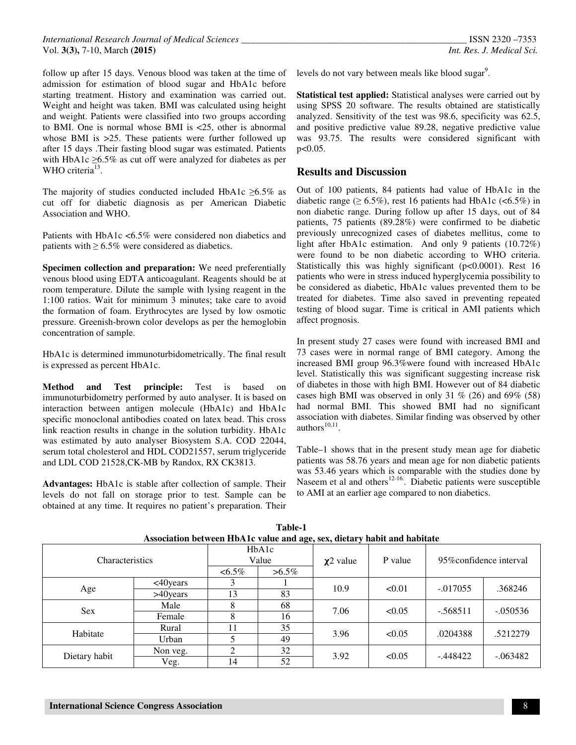*International Research Journal of Medical Sciences \_\_\_\_\_\_\_\_\_\_\_\_\_\_\_\_\_\_\_\_\_\_\_\_\_\_\_\_\_\_\_\_\_\_\_\_\_\_\_\_\_\_\_\_\_\_\_\_* ISSN 2320 –7353 Vol. **3(3),** 7-10, March **(2015)** *Int. Res. J. Medical Sci.*

follow up after 15 days. Venous blood was taken at the time of admission for estimation of blood sugar and HbA1c before starting treatment. History and examination was carried out. Weight and height was taken. BMI was calculated using height and weight. Patients were classified into two groups according to BMI. One is normal whose BMI is <25, other is abnormal whose BMI is  $>25$ . These patients were further followed up after 15 days .Their fasting blood sugar was estimated. Patients with HbA1c  $\geq$ 6.5% as cut off were analyzed for diabetes as per WHO criteria $^{13}$ .

The majority of studies conducted included HbA1c  $\geq 6.5\%$  as cut off for diabetic diagnosis as per American Diabetic Association and WHO.

Patients with HbA1c <6.5% were considered non diabetics and patients with  $\geq 6.5\%$  were considered as diabetics.

**Specimen collection and preparation:** We need preferentially venous blood using EDTA anticoagulant. Reagents should be at room temperature. Dilute the sample with lysing reagent in the 1:100 ratios. Wait for minimum 3 minutes; take care to avoid the formation of foam. Erythrocytes are lysed by low osmotic pressure. Greenish-brown color develops as per the hemoglobin concentration of sample.

HbA1c is determined immunoturbidometrically. The final result is expressed as percent HbA1c.

**Method and Test principle:** Test is based on immunoturbidometry performed by auto analyser. It is based on interaction between antigen molecule (HbA1c) and HbA1c specific monoclonal antibodies coated on latex bead. This cross link reaction results in change in the solution turbidity. HbA1c was estimated by auto analyser Biosystem S.A. COD 22044, serum total cholesterol and HDL COD21557, serum triglyceride and LDL COD 21528,CK-MB by Randox, RX CK3813.

**Advantages:** HbA1c is stable after collection of sample. Their levels do not fall on storage prior to test. Sample can be obtained at any time. It requires no patient's preparation. Their

levels do not vary between meals like blood sugar<sup>9</sup>.

**Statistical test applied:** Statistical analyses were carried out by using SPSS 20 software. The results obtained are statistically analyzed. Sensitivity of the test was 98.6, specificity was 62.5, and positive predictive value 89.28, negative predictive value was 93.75. The results were considered significant with  $p < 0.05$ .

#### **Results and Discussion**

Out of 100 patients, 84 patients had value of HbA1c in the diabetic range ( $\geq 6.5\%$ ), rest 16 patients had HbA1c (<6.5%) in non diabetic range. During follow up after 15 days, out of 84 patients, 75 patients (89.28%) were confirmed to be diabetic previously unrecognized cases of diabetes mellitus, come to light after HbA1c estimation. And only 9 patients (10.72%) were found to be non diabetic according to WHO criteria. Statistically this was highly significant (p<0.0001). Rest 16 patients who were in stress induced hyperglycemia possibility to be considered as diabetic, HbA1c values prevented them to be treated for diabetes. Time also saved in preventing repeated testing of blood sugar. Time is critical in AMI patients which affect prognosis.

In present study 27 cases were found with increased BMI and 73 cases were in normal range of BMI category. Among the increased BMI group 96.3%were found with increased HbA1c level. Statistically this was significant suggesting increase risk of diabetes in those with high BMI. However out of 84 diabetic cases high BMI was observed in only 31 % (26) and 69% (58) had normal BMI. This showed BMI had no significant association with diabetes. Similar finding was observed by other authors $^{10,11}$ .

Table–1 shows that in the present study mean age for diabetic patients was 58.76 years and mean age for non diabetic patients was 53.46 years which is comparable with the studies done by Naseem et al and others<sup>12-16</sup>. Diabetic patients were susceptible to AMI at an earlier age compared to non diabetics.

| Association between HDATC value and age, sex, dietary habit and habitate |              |                |          |                |         |                               |            |  |
|--------------------------------------------------------------------------|--------------|----------------|----------|----------------|---------|-------------------------------|------------|--|
| Characteristics                                                          |              | HbA1c<br>Value |          | $\chi$ 2 value | P value | 95\%\timesconfidence interval |            |  |
|                                                                          |              | $<6.5\%$       | $>6.5\%$ |                |         |                               |            |  |
| Age                                                                      | $<$ 40 years |                |          | 10.9           | < 0.01  | $-.017055$                    | .368246    |  |
|                                                                          | $>40$ years  | 13             | 83       |                |         |                               |            |  |
| <b>Sex</b>                                                               | Male         |                | 68       | 7.06           | < 0.05  | $-568511$                     | $-.050536$ |  |
|                                                                          | Female       |                | 16       |                |         |                               |            |  |
| Habitate                                                                 | Rural        | 11             | 35       | 3.96           | < 0.05  | .0204388                      | .5212279   |  |
|                                                                          | Urban        |                | 49       |                |         |                               |            |  |
| Dietary habit                                                            | Non veg.     | $\overline{c}$ | 32       | 3.92           | < 0.05  | -.448422                      | $-.063482$ |  |
|                                                                          | Veg.         | 14             | 52       |                |         |                               |            |  |

**Table-1 Association between HbA1c value and age, sex, dietary habit and habitate**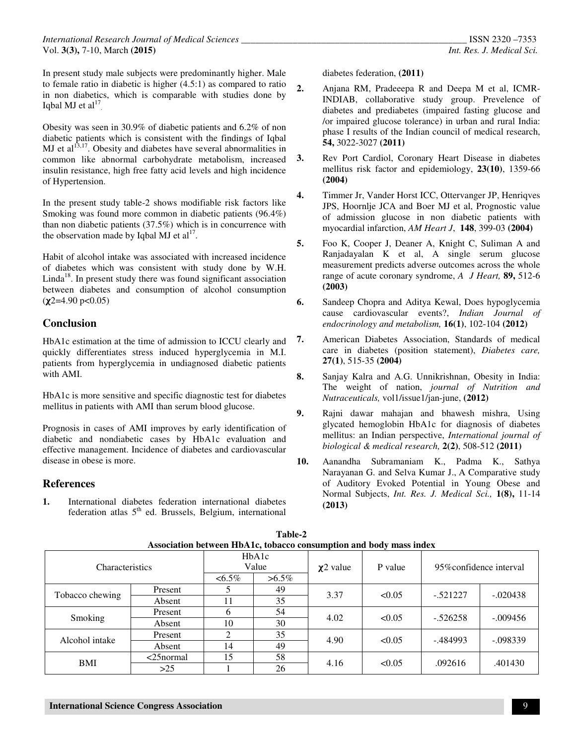In present study male subjects were predominantly higher. Male to female ratio in diabetic is higher (4.5:1) as compared to ratio in non diabetics, which is comparable with studies done by Iqbal MJ et  $al<sup>17</sup>$ .

Obesity was seen in 30.9% of diabetic patients and 6.2% of non diabetic patients which is consistent with the findings of Iqbal MJ et al $^{13,17}$ . Obesity and diabetes have several abnormalities in common like abnormal carbohydrate metabolism, increased insulin resistance, high free fatty acid levels and high incidence of Hypertension.

In the present study table-2 shows modifiable risk factors like Smoking was found more common in diabetic patients (96.4%) than non diabetic patients (37.5%) which is in concurrence with the observation made by Iqbal MJ et  $al<sup>17</sup>$ .

Habit of alcohol intake was associated with increased incidence of diabetes which was consistent with study done by W.H.  $Linda<sup>18</sup>$ . In present study there was found significant association between diabetes and consumption of alcohol consumption  $(\chi2=4.90 \text{ p} < 0.05)$ 

## **Conclusion**

HbA1c estimation at the time of admission to ICCU clearly and quickly differentiates stress induced hyperglycemia in M.I. patients from hyperglycemia in undiagnosed diabetic patients with AMI.

HbA1c is more sensitive and specific diagnostic test for diabetes mellitus in patients with AMI than serum blood glucose.

Prognosis in cases of AMI improves by early identification of diabetic and nondiabetic cases by HbA1c evaluation and effective management. Incidence of diabetes and cardiovascular disease in obese is more.

## **References**

**1.** International diabetes federation international diabetes federation atlas  $5<sup>th</sup>$  ed. Brussels, Belgium, international diabetes federation, **(2011)**

- **2.** Anjana RM, Pradeeepa R and Deepa M et al, ICMR-INDIAB, collaborative study group. Prevelence of diabetes and prediabetes (impaired fasting glucose and /or impaired glucose tolerance) in urban and rural India: phase I results of the Indian council of medical research, **54,** 3022-3027 **(2011)**
- **3.** Rev Port Cardiol, Coronary Heart Disease in diabetes mellitus risk factor and epidemiology, **23(10)**, 1359-66 **(2004)**
- **4.** Timmer Jr, Vander Horst ICC, Ottervanger JP, Henriqves JPS, Hoornlje JCA and Boer MJ et al, Prognostic value of admission glucose in non diabetic patients with myocardial infarction, *AM Heart J*, **148**, 399-03 **(2004)**
- **5.** Foo K, Cooper J, Deaner A, Knight C, Suliman A and Ranjadayalan K et al, A single serum glucose measurement predicts adverse outcomes across the whole range of acute coronary syndrome, *A J Heart,* **89,** 512-6 **(2003)**
- **6.** Sandeep Chopra and Aditya Kewal, Does hypoglycemia cause cardiovascular events?, *Indian Journal of endocrinology and metabolism,* **16(1)**, 102-104 **(2012)**
- **7.** American Diabetes Association, Standards of medical care in diabetes (position statement), *Diabetes care,*  **27(1)**, 515-35 **(2004)**
- **8.** Sanjay Kalra and A.G. Unnikrishnan, Obesity in India: The weight of nation, *journal of Nutrition and Nutraceuticals,* vol1/issue1/jan-june, **(2012)**
- **9.** Rajni dawar mahajan and bhawesh mishra, Using glycated hemoglobin HbA1c for diagnosis of diabetes mellitus: an Indian perspective, *International journal of biological & medical research,* **2(2)**, 508-512 **(2011)**
- **10.** Aanandha Subramaniam K., Padma K., Sathya Narayanan G. and Selva Kumar J., A Comparative study of Auditory Evoked Potential in Young Obese and Normal Subjects, *Int. Res. J. Medical Sci.,* **1(8),** 11-14 **(2013)**

| Association between HbA1c, tobacco consumption and body mass index |              |                |          |                |         |                               |            |  |
|--------------------------------------------------------------------|--------------|----------------|----------|----------------|---------|-------------------------------|------------|--|
| Characteristics                                                    |              | HbA1c<br>Value |          | $\chi$ 2 value | P value | 95\%\timesconfidence interval |            |  |
|                                                                    |              | $<6.5\%$       | $>6.5\%$ |                |         |                               |            |  |
| Tobacco chewing                                                    | Present      |                | 49       | 3.37           | < 0.05  | $-.521227$                    | $-.020438$ |  |
|                                                                    | Absent       | 11             | 35       |                |         |                               |            |  |
| Smoking                                                            | Present      | 6              | 54       | 4.02           | < 0.05  | $-.526258$                    | $-.009456$ |  |
|                                                                    | Absent       | 10             | 30       |                |         |                               |            |  |
| Alcohol intake                                                     | Present      | $\mathcal{D}$  | 35       | 4.90           | < 0.05  | $-484993$                     | $-.098339$ |  |
|                                                                    | Absent       | 14             | 49       |                |         |                               |            |  |
| BMI                                                                | $<$ 25normal | 15             | 58       | 4.16           | < 0.05  | .092616                       | .401430    |  |
|                                                                    | >25          |                | 26       |                |         |                               |            |  |

| Table-2                                                            |  |  |  |  |  |  |
|--------------------------------------------------------------------|--|--|--|--|--|--|
| Association between HbA1c, tobacco consumption and body mass index |  |  |  |  |  |  |